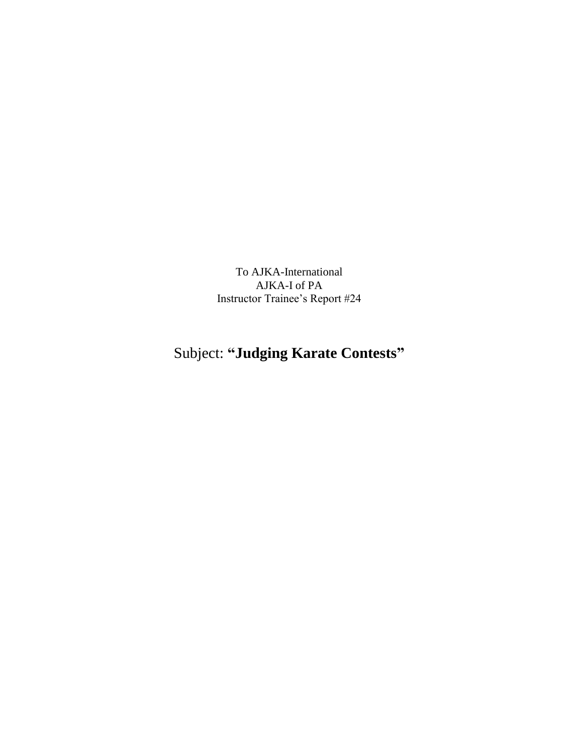To AJKA-International AJKA-I of PA Instructor Trainee's Report #24

## Subject: **"Judging Karate Contests"**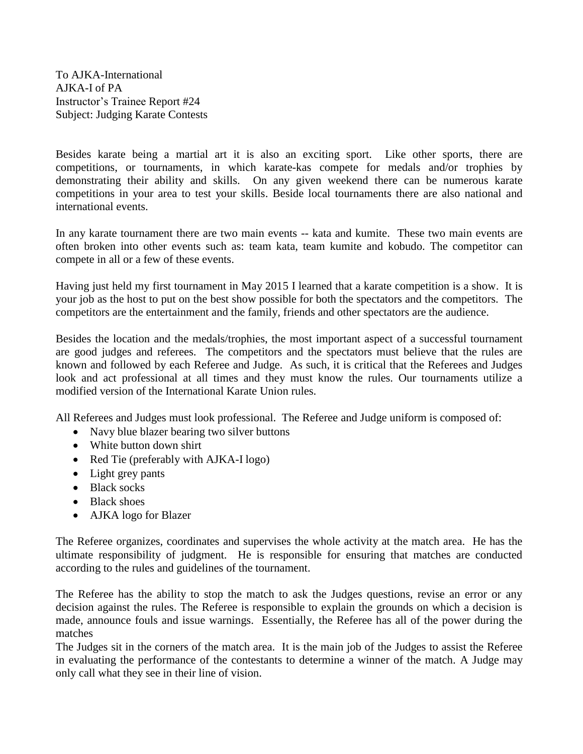To AJKA-International AJKA-I of PA Instructor's Trainee Report #24 Subject: Judging Karate Contests

Besides karate being a martial art it is also an exciting sport. Like other sports, there are competitions, or tournaments, in which karate-kas compete for medals and/or trophies by demonstrating their ability and skills. On any given weekend there can be numerous karate competitions in your area to test your skills. Beside local tournaments there are also national and international events.

In any karate tournament there are two main events -- kata and kumite. These two main events are often broken into other events such as: team kata, team kumite and kobudo. The competitor can compete in all or a few of these events.

Having just held my first tournament in May 2015 I learned that a karate competition is a show. It is your job as the host to put on the best show possible for both the spectators and the competitors. The competitors are the entertainment and the family, friends and other spectators are the audience.

Besides the location and the medals/trophies, the most important aspect of a successful tournament are good judges and referees. The competitors and the spectators must believe that the rules are known and followed by each Referee and Judge. As such, it is critical that the Referees and Judges look and act professional at all times and they must know the rules. Our tournaments utilize a modified version of the International Karate Union rules.

All Referees and Judges must look professional. The Referee and Judge uniform is composed of:

- Navy blue blazer bearing two silver buttons
- White button down shirt
- Red Tie (preferably with AJKA-I logo)
- Light grey pants
- Black socks
- Black shoes
- AJKA logo for Blazer

The Referee organizes, coordinates and supervises the whole activity at the match area. He has the ultimate responsibility of judgment. He is responsible for ensuring that matches are conducted according to the rules and guidelines of the tournament.

The Referee has the ability to stop the match to ask the Judges questions, revise an error or any decision against the rules. The Referee is responsible to explain the grounds on which a decision is made, announce fouls and issue warnings. Essentially, the Referee has all of the power during the matches

The Judges sit in the corners of the match area. It is the main job of the Judges to assist the Referee in evaluating the performance of the contestants to determine a winner of the match. A Judge may only call what they see in their line of vision.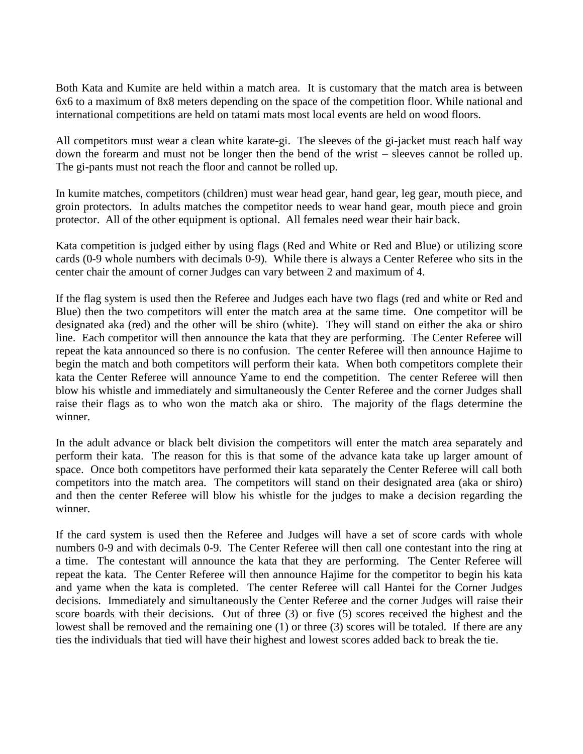Both Kata and Kumite are held within a match area. It is customary that the match area is between 6x6 to a maximum of 8x8 meters depending on the space of the competition floor. While national and international competitions are held on tatami mats most local events are held on wood floors.

All competitors must wear a clean white karate-gi. The sleeves of the gi-jacket must reach half way down the forearm and must not be longer then the bend of the wrist – sleeves cannot be rolled up. The gi-pants must not reach the floor and cannot be rolled up.

In kumite matches, competitors (children) must wear head gear, hand gear, leg gear, mouth piece, and groin protectors. In adults matches the competitor needs to wear hand gear, mouth piece and groin protector. All of the other equipment is optional. All females need wear their hair back.

Kata competition is judged either by using flags (Red and White or Red and Blue) or utilizing score cards (0-9 whole numbers with decimals 0-9). While there is always a Center Referee who sits in the center chair the amount of corner Judges can vary between 2 and maximum of 4.

If the flag system is used then the Referee and Judges each have two flags (red and white or Red and Blue) then the two competitors will enter the match area at the same time. One competitor will be designated aka (red) and the other will be shiro (white). They will stand on either the aka or shiro line. Each competitor will then announce the kata that they are performing. The Center Referee will repeat the kata announced so there is no confusion. The center Referee will then announce Hajime to begin the match and both competitors will perform their kata. When both competitors complete their kata the Center Referee will announce Yame to end the competition. The center Referee will then blow his whistle and immediately and simultaneously the Center Referee and the corner Judges shall raise their flags as to who won the match aka or shiro. The majority of the flags determine the winner.

In the adult advance or black belt division the competitors will enter the match area separately and perform their kata. The reason for this is that some of the advance kata take up larger amount of space. Once both competitors have performed their kata separately the Center Referee will call both competitors into the match area. The competitors will stand on their designated area (aka or shiro) and then the center Referee will blow his whistle for the judges to make a decision regarding the winner.

If the card system is used then the Referee and Judges will have a set of score cards with whole numbers 0-9 and with decimals 0-9. The Center Referee will then call one contestant into the ring at a time. The contestant will announce the kata that they are performing. The Center Referee will repeat the kata. The Center Referee will then announce Hajime for the competitor to begin his kata and yame when the kata is completed. The center Referee will call Hantei for the Corner Judges decisions. Immediately and simultaneously the Center Referee and the corner Judges will raise their score boards with their decisions. Out of three (3) or five (5) scores received the highest and the lowest shall be removed and the remaining one (1) or three (3) scores will be totaled. If there are any ties the individuals that tied will have their highest and lowest scores added back to break the tie.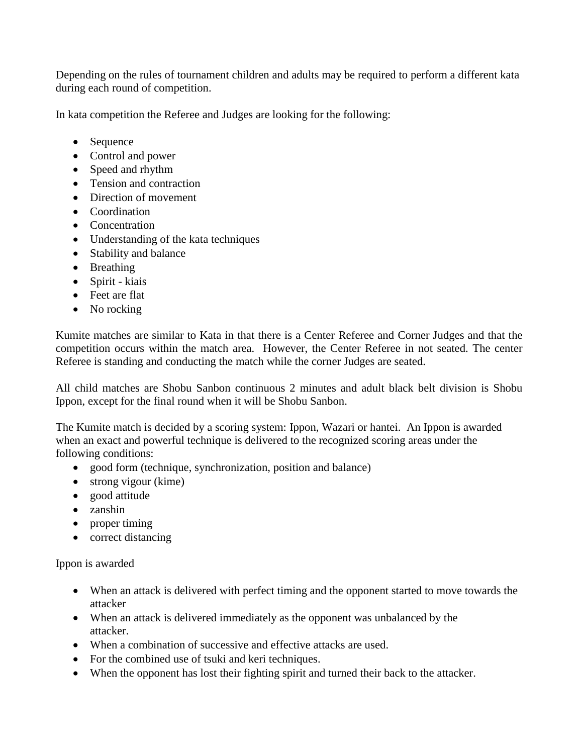Depending on the rules of tournament children and adults may be required to perform a different kata during each round of competition.

In kata competition the Referee and Judges are looking for the following:

- Sequence
- Control and power
- Speed and rhythm
- Tension and contraction
- Direction of movement
- Coordination
- Concentration
- Understanding of the kata techniques
- Stability and balance
- Breathing
- Spirit kiais
- Feet are flat
- No rocking

Kumite matches are similar to Kata in that there is a Center Referee and Corner Judges and that the competition occurs within the match area. However, the Center Referee in not seated. The center Referee is standing and conducting the match while the corner Judges are seated.

All child matches are Shobu Sanbon continuous 2 minutes and adult black belt division is Shobu Ippon, except for the final round when it will be Shobu Sanbon.

The Kumite match is decided by a scoring system: Ippon, Wazari or hantei. An Ippon is awarded when an exact and powerful technique is delivered to the recognized scoring areas under the following conditions:

- good form (technique, synchronization, position and balance)
- strong vigour (kime)
- good attitude
- zanshin
- proper timing
- correct distancing

Ippon is awarded

- When an attack is delivered with perfect timing and the opponent started to move towards the attacker
- When an attack is delivered immediately as the opponent was unbalanced by the attacker.
- When a combination of successive and effective attacks are used.
- For the combined use of tsuki and keri techniques.
- When the opponent has lost their fighting spirit and turned their back to the attacker.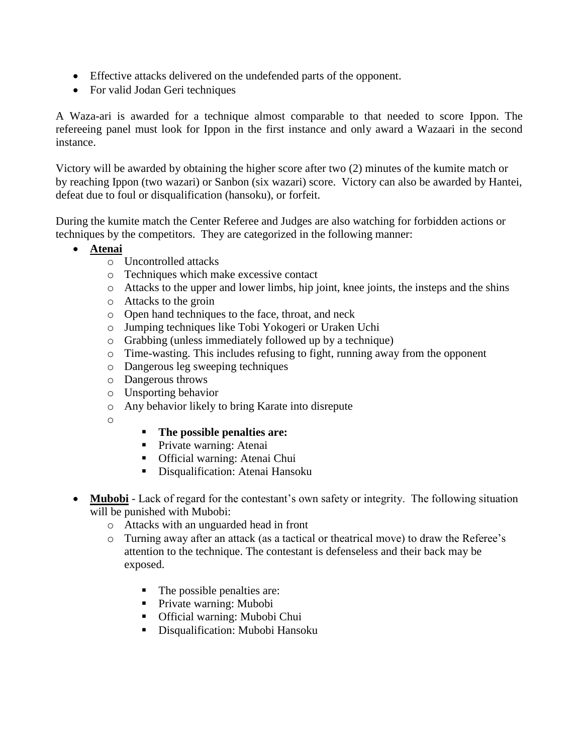- Effective attacks delivered on the undefended parts of the opponent.
- For valid Jodan Geri techniques

A Waza-ari is awarded for a technique almost comparable to that needed to score Ippon. The refereeing panel must look for Ippon in the first instance and only award a Wazaari in the second instance.

Victory will be awarded by obtaining the higher score after two (2) minutes of the kumite match or by reaching Ippon (two wazari) or Sanbon (six wazari) score. Victory can also be awarded by Hantei, defeat due to foul or disqualification (hansoku), or forfeit.

During the kumite match the Center Referee and Judges are also watching for forbidden actions or techniques by the competitors. They are categorized in the following manner:

- **Atenai**
	- o Uncontrolled attacks
	- o Techniques which make excessive contact
	- o Attacks to the upper and lower limbs, hip joint, knee joints, the insteps and the shins
	- o Attacks to the groin
	- o Open hand techniques to the face, throat, and neck
	- o Jumping techniques like Tobi Yokogeri or Uraken Uchi
	- o Grabbing (unless immediately followed up by a technique)
	- o Time-wasting. This includes refusing to fight, running away from the opponent
	- o Dangerous leg sweeping techniques
	- o Dangerous throws
	- o Unsporting behavior
	- o Any behavior likely to bring Karate into disrepute
	- o
- **The possible penalties are:**
- **Private warning: Atenai**
- Official warning: Atenai Chui
- **Disqualification: Atenai Hansoku**
- Mubobi Lack of regard for the contestant's own safety or integrity. The following situation will be punished with Mubobi:
	- o Attacks with an unguarded head in front
	- o Turning away after an attack (as a tactical or theatrical move) to draw the Referee's attention to the technique. The contestant is defenseless and their back may be exposed.
		- The possible penalties are:
		- Private warning: Mubobi
		- Official warning: Mubobi Chui
		- **Disqualification: Mubobi Hansoku**